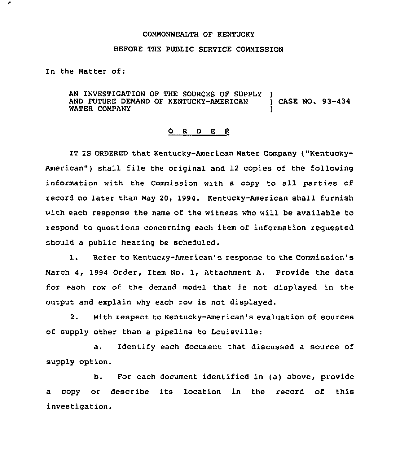## COMMONWEALTH OF KENTUCKY

## BEFORE THE PUBLIC SERVICE COMMISSION

In the Matter of:

AN INVESTIGATION OF THE SOURCES OF SUPPLY )<br>AND FUTURE DEMAND OF KENTUCKY-AMERICAN ) CASE NO. 93-434 AND FUTURE DEMAND OF KENTUCKY-AMERICAN WATER COMPANY

## 0 R <sup>D</sup> E R

IT IS ORDERED that Kentucky-American Water Company ("Kentucky-American") shall file the original and 12 copies of the following information with the Commission with a copy to all parties of record no later than May 20, 1994. Kentucky-American shall furnish with each response the name of the witness who will be available to respond to questions concerning each item of information requested should a public hearing be scheduled.

1. Refer to Kentucky-American's response to the Commission's March 4, 1994 Order, 1tem No. 1, Attachment A. Provide the data for each row of the demand model that is not displayed in the output and explain why each row is not displayed.

2. With respect to Kentucky-American's evaluation of sources of supply other than a pipeline to Louisville:

a. Identify each document that discussed a source of supply option.

b. For each document identified in (a) above, provide a copy or describe its location in the record of this investigation.